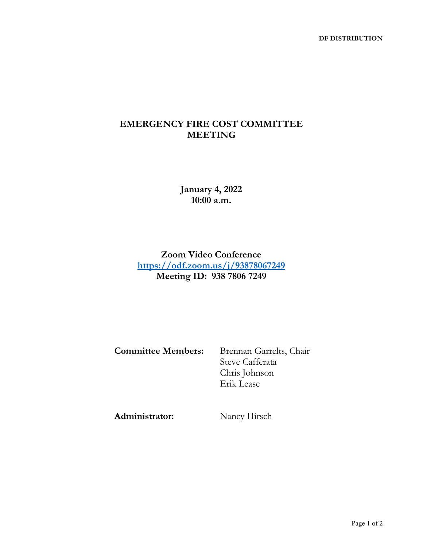## **EMERGENCY FIRE COST COMMITTEE MEETING**

**January 4, 2022 10:00 a.m.**

**Zoom Video Conference <https://odf.zoom.us/j/93878067249> Meeting ID: 938 7806 7249**

**Committee Members:** Brennan Garrelts, Chair

Steve Cafferata Chris Johnson Erik Lease

**Administrator:** Nancy Hirsch